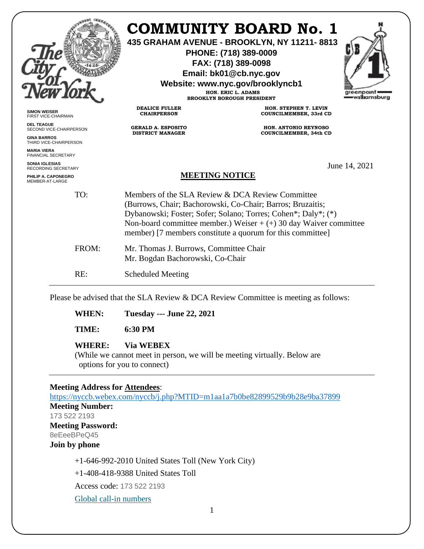|                                                     |                                             | <b>COMMUNITY BOARD No. 1</b><br>435 GRAHAM AVENUE - BROOKLYN, NY 11211-8813<br>PHONE: (718) 389-0009<br>FAX: (718) 389-0098<br>Email: bk01@cb.nyc.gov<br>Website: www.nyc.gov/brooklyncb1<br>HON. ERIC L. ADAMS<br><b>BROOKLYN BOROUGH PRESIDENT</b>                                                                 | greenpoin<br>williamsburg |  |
|-----------------------------------------------------|---------------------------------------------|----------------------------------------------------------------------------------------------------------------------------------------------------------------------------------------------------------------------------------------------------------------------------------------------------------------------|---------------------------|--|
| <b>SIMON WEISER</b><br>FIRST VICE-CHAIRMAN          | <b>DEALICE FULLER</b><br><b>CHAIRPERSON</b> | HON. STEPHEN T. LEVIN<br>COUNCILMEMBER, 33rd CD                                                                                                                                                                                                                                                                      |                           |  |
| <b>DEL TEAGUE</b><br>SECOND VICE-CHAIRPERSON        | <b>GERALD A. ESPOSITO</b>                   | <b>HON. ANTONIO REYNOSO</b>                                                                                                                                                                                                                                                                                          |                           |  |
| <b>GINA BARROS</b><br>THIRD VICE-CHAIRPERSON        | <b>DISTRICT MANAGER</b>                     | <b>COUNCILMEMBER, 34th CD</b>                                                                                                                                                                                                                                                                                        |                           |  |
| <b>MARIA VIERA</b><br><b>FINANCIAL SECRETARY</b>    |                                             |                                                                                                                                                                                                                                                                                                                      |                           |  |
| <b>SONIA IGLESIAS</b><br><b>RECORDING SECRETARY</b> |                                             |                                                                                                                                                                                                                                                                                                                      | June 14, 2021             |  |
| PHILIP A. CAPONEGRO<br>MEMBER-AT-LARGE              |                                             | <b>MEETING NOTICE</b>                                                                                                                                                                                                                                                                                                |                           |  |
| TO:                                                 |                                             | Members of the SLA Review & DCA Review Committee<br>(Burrows, Chair; Bachorowski, Co-Chair; Barros; Bruzaitis;<br>Dybanowski; Foster; Sofer; Solano; Torres; Cohen*; Daly*; (*)<br>Non-board committee member.) Weiser $+ (+)$ 30 day Waiver committee<br>member) [7 members constitute a quorum for this committee] |                           |  |
| FROM:                                               |                                             | Mr. Thomas J. Burrows, Committee Chair<br>Mr. Bogdan Bachorowski, Co-Chair                                                                                                                                                                                                                                           |                           |  |
| RE:                                                 | <b>Scheduled Meeting</b>                    |                                                                                                                                                                                                                                                                                                                      |                           |  |

Please be advised that the SLA Review & DCA Review Committee is meeting as follows:

**WHEN: Tuesday --- June 22, 2021**

**TIME: 6:30 PM**

#### **WHERE: Via WEBEX**

(While we cannot meet in person, we will be meeting virtually. Below are options for you to connect)

#### **Meeting Address for Attendees**:

<https://nyccb.webex.com/nyccb/j.php?MTID=m1aa1a7b0be82899529b9b28e9ba37899> **Meeting Number:** 173 522 2193 **Meeting Password:** 8eEeeBPeQ45 **Join by phone** +1-646-992-2010 United States Toll (New York City) +1-408-418-9388 United States Toll

Access code: 173 522 2193

[Global call-in numbers](javascript:void(0);)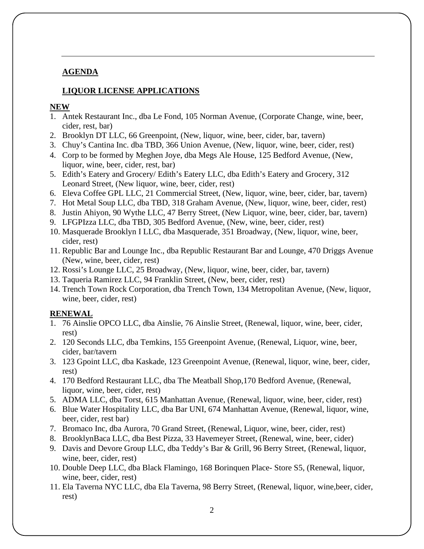## **AGENDA**

# **LIQUOR LICENSE APPLICATIONS**

### **NEW**

- 1. Antek Restaurant Inc., dba Le Fond, 105 Norman Avenue, (Corporate Change, wine, beer, cider, rest, bar)
- 2. Brooklyn DT LLC, 66 Greenpoint, (New, liquor, wine, beer, cider, bar, tavern)
- 3. Chuy's Cantina Inc. dba TBD, 366 Union Avenue, (New, liquor, wine, beer, cider, rest)
- 4. Corp to be formed by Meghen Joye, dba Megs Ale House, 125 Bedford Avenue, (New, liquor, wine, beer, cider, rest, bar)
- 5. Edith's Eatery and Grocery/ Edith's Eatery LLC, dba Edith's Eatery and Grocery, 312 Leonard Street, (New liquor, wine, beer, cider, rest)
- 6. Eleva Coffee GPL LLC, 21 Commercial Street, (New, liquor, wine, beer, cider, bar, tavern)
- 7. Hot Metal Soup LLC, dba TBD, 318 Graham Avenue, (New, liquor, wine, beer, cider, rest)
- 8. Justin Ahiyon, 90 Wythe LLC, 47 Berry Street, (New Liquor, wine, beer, cider, bar, tavern)
- 9. LFGPIzza LLC, dba TBD, 305 Bedford Avenue, (New, wine, beer, cider, rest)
- 10. Masquerade Brooklyn I LLC, dba Masquerade, 351 Broadway, (New, liquor, wine, beer, cider, rest)
- 11. Republic Bar and Lounge Inc., dba Republic Restaurant Bar and Lounge, 470 Driggs Avenue (New, wine, beer, cider, rest)
- 12. Rossi's Lounge LLC, 25 Broadway, (New, liquor, wine, beer, cider, bar, tavern)
- 13. Taqueria Ramirez LLC, 94 Franklin Street, (New, beer, cider, rest)
- 14. Trench Town Rock Corporation, dba Trench Town, 134 Metropolitan Avenue, (New, liquor, wine, beer, cider, rest)

# **RENEWAL**

- 1. 76 Ainslie OPCO LLC, dba Ainslie, 76 Ainslie Street, (Renewal, liquor, wine, beer, cider, rest)
- 2. 120 Seconds LLC, dba Temkins, 155 Greenpoint Avenue, (Renewal, Liquor, wine, beer, cider, bar/tavern
- 3. 123 Gpoint LLC, dba Kaskade, 123 Greenpoint Avenue, (Renewal, liquor, wine, beer, cider, rest)
- 4. 170 Bedford Restaurant LLC, dba The Meatball Shop,170 Bedford Avenue, (Renewal, liquor, wine, beer, cider, rest)
- 5. ADMA LLC, dba Torst, 615 Manhattan Avenue, (Renewal, liquor, wine, beer, cider, rest)
- 6. Blue Water Hospitality LLC, dba Bar UNI, 674 Manhattan Avenue, (Renewal, liquor, wine, beer, cider, rest bar)
- 7. Bromaco Inc, dba Aurora, 70 Grand Street, (Renewal, Liquor, wine, beer, cider, rest)
- 8. BrooklynBaca LLC, dba Best Pizza, 33 Havemeyer Street, (Renewal, wine, beer, cider)
- 9. Davis and Devore Group LLC, dba Teddy's Bar & Grill, 96 Berry Street, (Renewal, liquor, wine, beer, cider, rest)
- 10. Double Deep LLC, dba Black Flamingo, 168 Borinquen Place- Store S5, (Renewal, liquor, wine, beer, cider, rest)
- 11. Ela Taverna NYC LLC, dba Ela Taverna, 98 Berry Street, (Renewal, liquor, wine,beer, cider, rest)